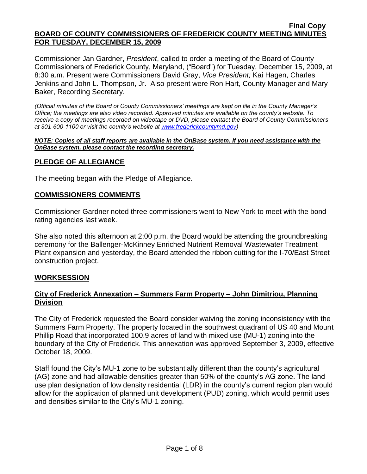Commissioner Jan Gardner, *President*, called to order a meeting of the Board of County Commissioners of Frederick County, Maryland, ("Board") for Tuesday, December 15, 2009, at 8:30 a.m. Present were Commissioners David Gray, *Vice President;* Kai Hagen, Charles Jenkins and John L. Thompson, Jr. Also present were Ron Hart, County Manager and Mary Baker, Recording Secretary.

*(Official minutes of the Board of County Commissioners' meetings are kept on file in the County Manager's Office; the meetings are also video recorded. Approved minutes are available on the county's website. To receive a copy of meetings recorded on videotape or DVD, please contact the Board of County Commissioners at 301-600-1100 or visit the county's website at [www.frederickcountymd.gov\)](file:\\NT1S5\BOCC\BOCC\BOCC%20Minutes\Mary)*

#### *NOTE: Copies of all staff reports are available in the OnBase system. If you need assistance with the OnBase system, please contact the recording secretary.*

## **PLEDGE OF ALLEGIANCE**

The meeting began with the Pledge of Allegiance.

#### **COMMISSIONERS COMMENTS**

Commissioner Gardner noted three commissioners went to New York to meet with the bond rating agencies last week.

She also noted this afternoon at 2:00 p.m. the Board would be attending the groundbreaking ceremony for the Ballenger-McKinney Enriched Nutrient Removal Wastewater Treatment Plant expansion and yesterday, the Board attended the ribbon cutting for the I-70/East Street construction project.

#### **WORKSESSION**

## **City of Frederick Annexation – Summers Farm Property – John Dimitriou, Planning Division**

The City of Frederick requested the Board consider waiving the zoning inconsistency with the Summers Farm Property. The property located in the southwest quadrant of US 40 and Mount Phillip Road that incorporated 100.9 acres of land with mixed use (MU-1) zoning into the boundary of the City of Frederick. This annexation was approved September 3, 2009, effective October 18, 2009.

Staff found the City's MU-1 zone to be substantially different than the county's agricultural (AG) zone and had allowable densities greater than 50% of the county's AG zone. The land use plan designation of low density residential (LDR) in the county's current region plan would allow for the application of planned unit development (PUD) zoning, which would permit uses and densities similar to the City's MU-1 zoning.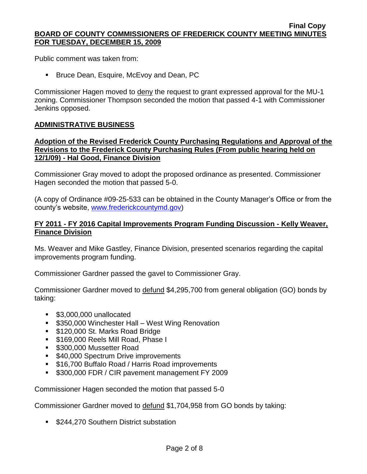Public comment was taken from:

**Bruce Dean, Esquire, McEvoy and Dean, PC** 

Commissioner Hagen moved to deny the request to grant expressed approval for the MU-1 zoning. Commissioner Thompson seconded the motion that passed 4-1 with Commissioner Jenkins opposed.

#### **ADMINISTRATIVE BUSINESS**

#### **Adoption of the Revised Frederick County Purchasing Regulations and Approval of the Revisions to the Frederick County Purchasing Rules (From public hearing held on 12/1/09) - Hal Good, Finance Division**

Commissioner Gray moved to adopt the proposed ordinance as presented. Commissioner Hagen seconded the motion that passed 5-0.

(A copy of Ordinance #09-25-533 can be obtained in the County Manager's Office or from the county's website, [www.frederickcountymd.gov\)](file:\\NT1S5\BOCC\BOCC\BOCC%20Minutes\Mary)

#### **FY 2011 - FY 2016 Capital Improvements Program Funding Discussion - Kelly Weaver, Finance Division**

Ms. Weaver and Mike Gastley, Finance Division, presented scenarios regarding the capital improvements program funding.

Commissioner Gardner passed the gavel to Commissioner Gray.

Commissioner Gardner moved to defund \$4,295,700 from general obligation (GO) bonds by taking:

- **\$3,000,000 unallocated**
- **5350,000 Winchester Hall West Wing Renovation**
- **5120,000 St. Marks Road Bridge**
- **5169,000 Reels Mill Road, Phase I**
- **5300,000 Mussetter Road**
- **540,000 Spectrum Drive improvements**
- **516,700 Buffalo Road / Harris Road improvements**
- **S300,000 FDR / CIR pavement management FY 2009**

Commissioner Hagen seconded the motion that passed 5-0

Commissioner Gardner moved to defund \$1,704,958 from GO bonds by taking:

**5244,270 Southern District substation**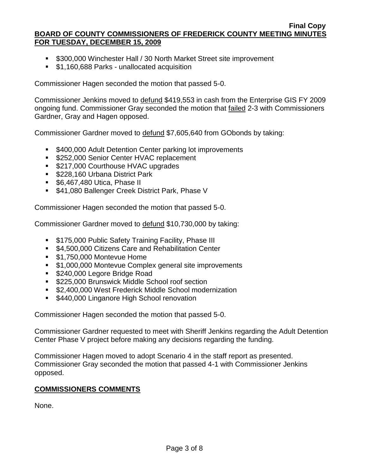- **5300,000 Winchester Hall / 30 North Market Street site improvement**
- **51,160,688 Parks unallocated acquisition**

Commissioner Hagen seconded the motion that passed 5-0.

Commissioner Jenkins moved to defund \$419,553 in cash from the Enterprise GIS FY 2009 ongoing fund. Commissioner Gray seconded the motion that failed 2-3 with Commissioners Gardner, Gray and Hagen opposed.

Commissioner Gardner moved to defund \$7,605,640 from GObonds by taking:

- **5400,000 Adult Detention Center parking lot improvements**
- **\$252,000 Senior Center HVAC replacement**
- \$217,000 Courthouse HVAC upgrades
- **\$228,160 Urbana District Park**
- **56,467,480 Utica, Phase II**
- **541,080 Ballenger Creek District Park, Phase V**

Commissioner Hagen seconded the motion that passed 5-0.

Commissioner Gardner moved to defund \$10,730,000 by taking:

- **5175,000 Public Safety Training Facility, Phase III**
- **54,500,000 Citizens Care and Rehabilitation Center**
- **\$1,750,000 Montevue Home**
- **51,000,000 Montevue Complex general site improvements**
- **5240,000 Legore Bridge Road**
- **5225,000 Brunswick Middle School roof section**
- **52,400,000 West Frederick Middle School modernization**
- **5440,000 Linganore High School renovation**

Commissioner Hagen seconded the motion that passed 5-0.

Commissioner Gardner requested to meet with Sheriff Jenkins regarding the Adult Detention Center Phase V project before making any decisions regarding the funding.

Commissioner Hagen moved to adopt Scenario 4 in the staff report as presented. Commissioner Gray seconded the motion that passed 4-1 with Commissioner Jenkins opposed.

#### **COMMISSIONERS COMMENTS**

None.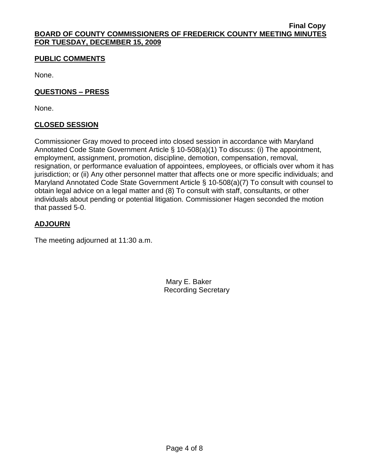# **PUBLIC COMMENTS**

None.

## **QUESTIONS – PRESS**

None.

# **CLOSED SESSION**

Commissioner Gray moved to proceed into closed session in accordance with Maryland Annotated Code State Government Article § 10-508(a)(1) To discuss: (i) The appointment, employment, assignment, promotion, discipline, demotion, compensation, removal, resignation, or performance evaluation of appointees, employees, or officials over whom it has jurisdiction; or (ii) Any other personnel matter that affects one or more specific individuals; and Maryland Annotated Code State Government Article § 10-508(a)(7) To consult with counsel to obtain legal advice on a legal matter and (8) To consult with staff, consultants, or other individuals about pending or potential litigation. Commissioner Hagen seconded the motion that passed 5-0.

# **ADJOURN**

The meeting adjourned at 11:30 a.m.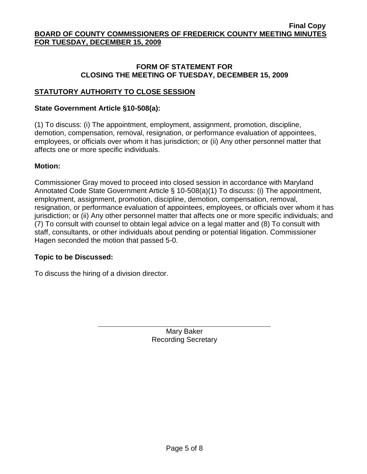#### **FORM OF STATEMENT FOR CLOSING THE MEETING OF TUESDAY, DECEMBER 15, 2009**

# **STATUTORY AUTHORITY TO CLOSE SESSION**

#### **State Government Article §10-508(a):**

(1) To discuss: (i) The appointment, employment, assignment, promotion, discipline, demotion, compensation, removal, resignation, or performance evaluation of appointees, employees, or officials over whom it has jurisdiction; or (ii) Any other personnel matter that affects one or more specific individuals.

## **Motion:**

Commissioner Gray moved to proceed into closed session in accordance with Maryland Annotated Code State Government Article § 10-508(a)(1) To discuss: (i) The appointment, employment, assignment, promotion, discipline, demotion, compensation, removal, resignation, or performance evaluation of appointees, employees, or officials over whom it has jurisdiction; or (ii) Any other personnel matter that affects one or more specific individuals; and (7) To consult with counsel to obtain legal advice on a legal matter and (8) To consult with staff, consultants, or other individuals about pending or potential litigation. Commissioner Hagen seconded the motion that passed 5-0.

# **Topic to be Discussed:**

To discuss the hiring of a division director.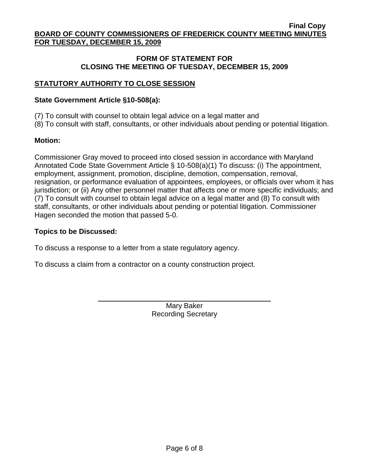#### **FORM OF STATEMENT FOR CLOSING THE MEETING OF TUESDAY, DECEMBER 15, 2009**

# **STATUTORY AUTHORITY TO CLOSE SESSION**

#### **State Government Article §10-508(a):**

(7) To consult with counsel to obtain legal advice on a legal matter and

(8) To consult with staff, consultants, or other individuals about pending or potential litigation.

## **Motion:**

Commissioner Gray moved to proceed into closed session in accordance with Maryland Annotated Code State Government Article § 10-508(a)(1) To discuss: (i) The appointment, employment, assignment, promotion, discipline, demotion, compensation, removal, resignation, or performance evaluation of appointees, employees, or officials over whom it has jurisdiction; or (ii) Any other personnel matter that affects one or more specific individuals; and (7) To consult with counsel to obtain legal advice on a legal matter and (8) To consult with staff, consultants, or other individuals about pending or potential litigation. Commissioner Hagen seconded the motion that passed 5-0.

## **Topics to be Discussed:**

To discuss a response to a letter from a state regulatory agency.

To discuss a claim from a contractor on a county construction project.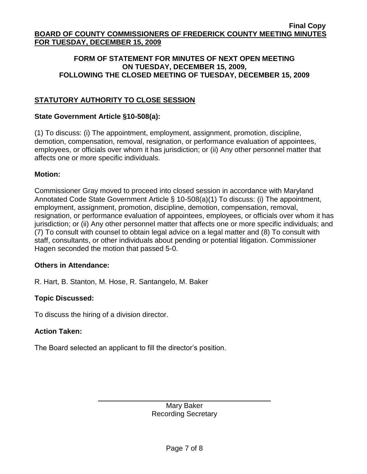## **FORM OF STATEMENT FOR MINUTES OF NEXT OPEN MEETING ON TUESDAY, DECEMBER 15, 2009, FOLLOWING THE CLOSED MEETING OF TUESDAY, DECEMBER 15, 2009**

# **STATUTORY AUTHORITY TO CLOSE SESSION**

## **State Government Article §10-508(a):**

(1) To discuss: (i) The appointment, employment, assignment, promotion, discipline, demotion, compensation, removal, resignation, or performance evaluation of appointees, employees, or officials over whom it has jurisdiction; or (ii) Any other personnel matter that affects one or more specific individuals.

## **Motion:**

Commissioner Gray moved to proceed into closed session in accordance with Maryland Annotated Code State Government Article § 10-508(a)(1) To discuss: (i) The appointment, employment, assignment, promotion, discipline, demotion, compensation, removal, resignation, or performance evaluation of appointees, employees, or officials over whom it has jurisdiction; or (ii) Any other personnel matter that affects one or more specific individuals; and (7) To consult with counsel to obtain legal advice on a legal matter and (8) To consult with staff, consultants, or other individuals about pending or potential litigation. Commissioner Hagen seconded the motion that passed 5-0.

#### **Others in Attendance:**

R. Hart, B. Stanton, M. Hose, R. Santangelo, M. Baker

# **Topic Discussed:**

To discuss the hiring of a division director.

#### **Action Taken:**

The Board selected an applicant to fill the director's position.